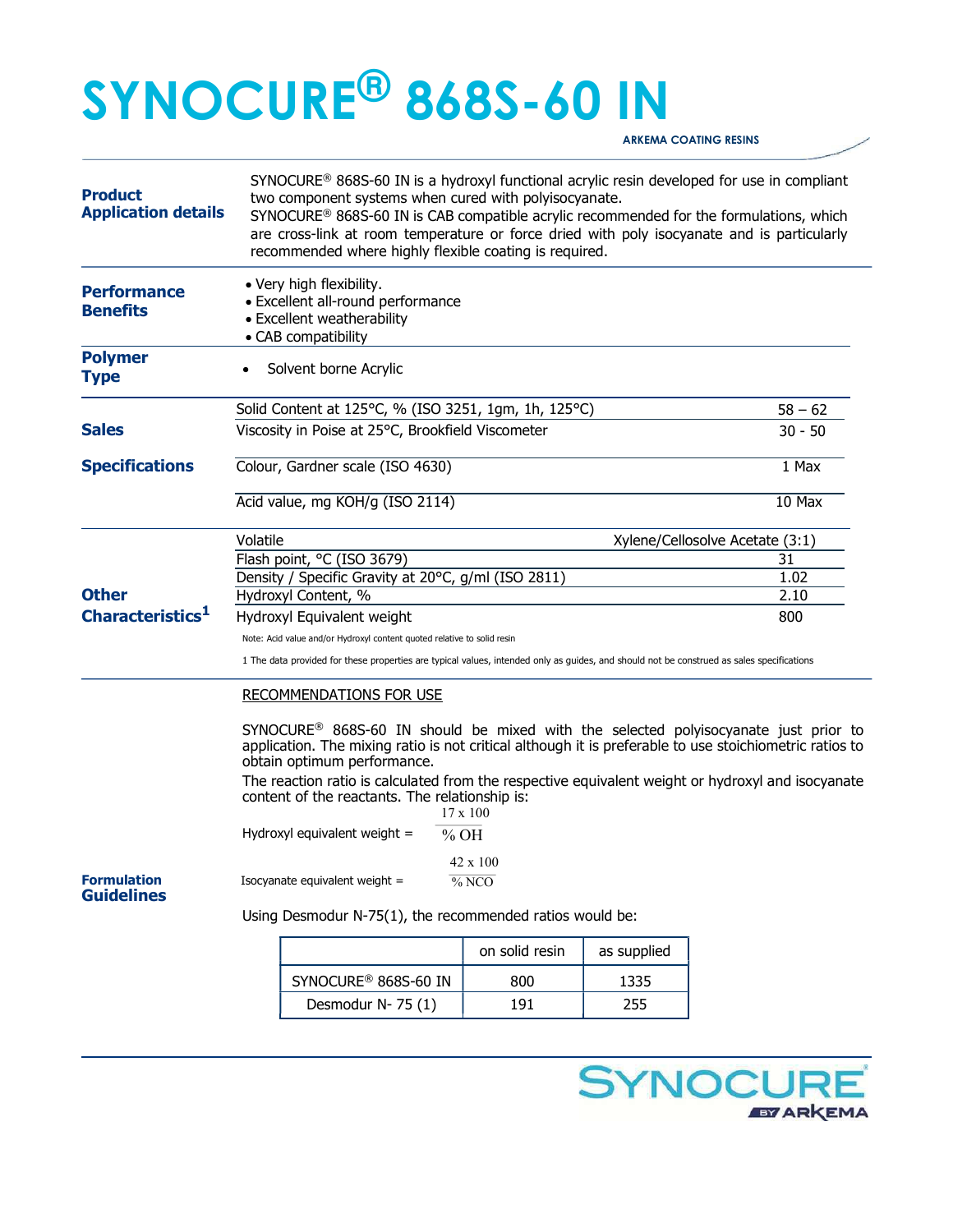## SYNOCURE<sup>®</sup> 868S-60 IN ARKEMA COATING RESINS

**Product** Application details SYNOCURE® 868S-60 IN is a hydroxyl functional acrylic resin developed for use in compliant two component systems when cured with polyisocyanate. SYNOCURE® 868S-60 IN is CAB compatible acrylic recommended for the formulations, which are cross-link at room temperature or force dried with poly isocyanate and is particularly recommended where highly flexible coating is required. **Performance** • Very high flexibility. Excellent all-round performance Excellent weatherability • CAB compatibility **Benefits** Polymer **Type** • Solvent borne Acrylic Solid Content at 125°C, % (ISO 3251, 1gm, 1h, 125°C) 58 – 62 Sales Sales Viscosity in Poise at 25°C, Brookfield Viscometer 30 - 30 - 50 - 50 **Specifications** Colour, Gardner scale (ISO 4630) 1 Max Acid value, mg KOH/g (ISO 2114) 10 Max Volatile **Volatile** Volatile Xylene/Cellosolve Acetate (3:1) Flash point,  $^{\circ}$ C (ISO 3679) 31 Density / Specific Gravity at 20°C, g/ml (ISO 2811) 1.02 **Other** Hydroxyl Content, % 2.10  **Hydroxyl Equivalent weight**  $800$ Note: Acid value and/or Hydroxyl content quoted relative to solid resin 1 The data provided for these properties are typical values, intended only as guides, and should not be construed as sales specifications RECOMMENDATIONS FOR USE SYNOCURE® 868S-60 IN should be mixed with the selected polyisocyanate just prior to application. The mixing ratio is not critical although it is preferable to use stoichiometric ratios to obtain optimum performance. The reaction ratio is calculated from the respective equivalent weight or hydroxyl and isocyanate content of the reactants. The relationship is: 17 x 100 Hydroxyl equivalent weight =  $\%$  OH 42 x 100 **Formulation** Isocyanate equivalent weight =  $\frac{1}{\%} NCO$ Guidelines Using Desmodur N-75(1), the recommended ratios would be: on solid resin  $\vert$  as supplied SYNOCURE<sup>®</sup> 868S-60 IN | 800 | 1335 Desmodur N- 75 (1) | 191 | 255